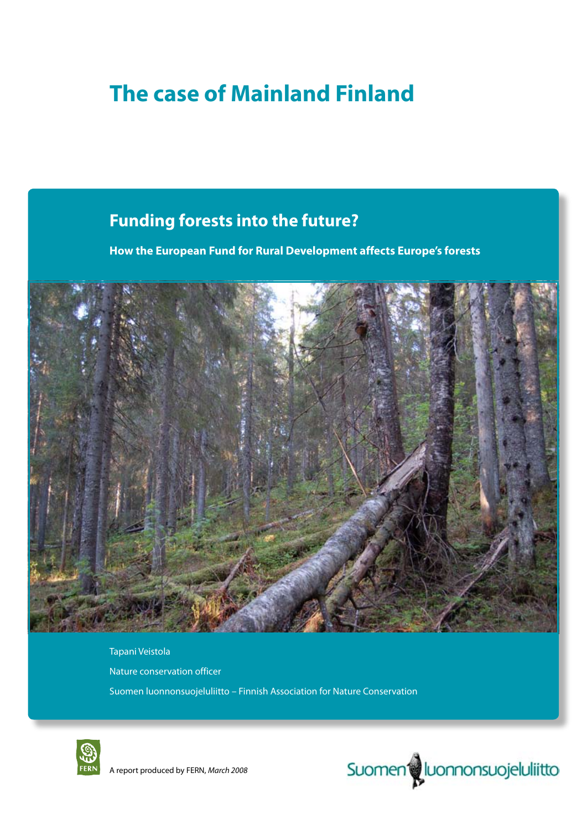# **The case of Mainland Finland**

## **Funding forests into the future?**

**How the European Fund for Rural Development affects Europe's forests**



Tapani Veistola Nature conservation officer Suomen luonnonsuojeluliitto – Finnish Association for Nature Conservation





A report produced by FERN, *March 2008*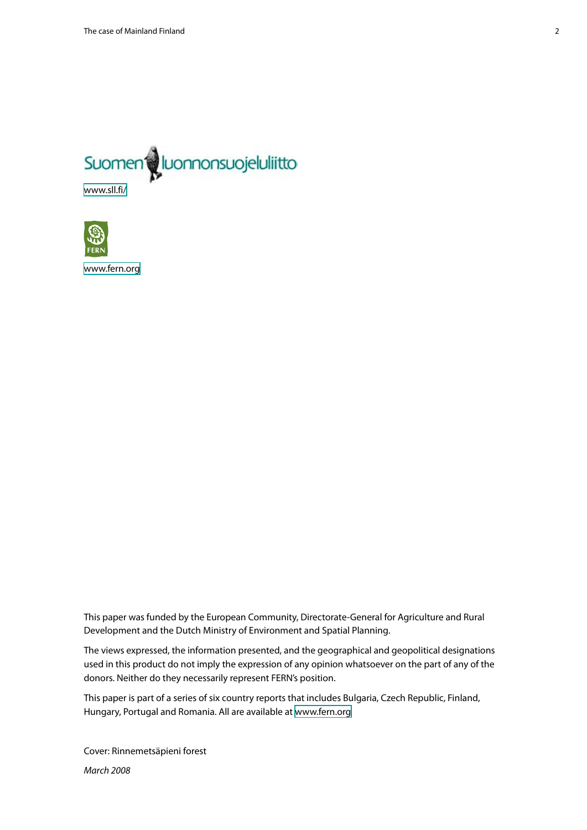

**CO** 

<www.fern.org>

This paper was funded by the European Community, Directorate-General for Agriculture and Rural Development and the Dutch Ministry of Environment and Spatial Planning.

The views expressed, the information presented, and the geographical and geopolitical designations used in this product do not imply the expression of any opinion whatsoever on the part of any of the donors. Neither do they necessarily represent FERN's position.

This paper is part of a series of six country reports that includes Bulgaria, Czech Republic, Finland, Hungary, Portugal and Romania. All are available at<www.fern.org>

Cover: Rinnemetsäpieni forest *March 2008*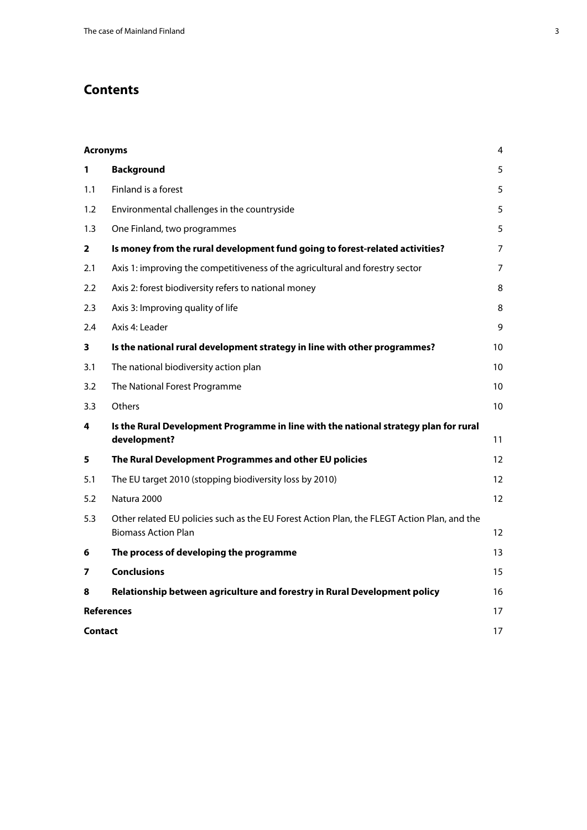## **Contents**

| <b>Acronyms</b><br>4 |                                                                                                                           |    |  |
|----------------------|---------------------------------------------------------------------------------------------------------------------------|----|--|
| 1                    | <b>Background</b>                                                                                                         | 5  |  |
| 1.1                  | Finland is a forest                                                                                                       | 5  |  |
| 1.2                  | Environmental challenges in the countryside                                                                               | 5  |  |
| 1.3                  | One Finland, two programmes                                                                                               | 5  |  |
| $\overline{2}$       | Is money from the rural development fund going to forest-related activities?                                              | 7  |  |
| 2.1                  | Axis 1: improving the competitiveness of the agricultural and forestry sector                                             | 7  |  |
| $2.2\phantom{0}$     | Axis 2: forest biodiversity refers to national money                                                                      | 8  |  |
| 2.3                  | Axis 3: Improving quality of life                                                                                         | 8  |  |
| 2.4                  | Axis 4: Leader                                                                                                            | 9  |  |
| 3                    | Is the national rural development strategy in line with other programmes?                                                 | 10 |  |
| 3.1                  | The national biodiversity action plan                                                                                     | 10 |  |
| 3.2                  | The National Forest Programme                                                                                             | 10 |  |
| 3.3                  | Others                                                                                                                    | 10 |  |
| 4                    | Is the Rural Development Programme in line with the national strategy plan for rural<br>development?                      | 11 |  |
| 5                    | The Rural Development Programmes and other EU policies                                                                    | 12 |  |
| 5.1                  | The EU target 2010 (stopping biodiversity loss by 2010)                                                                   | 12 |  |
| 5.2                  | Natura 2000                                                                                                               | 12 |  |
| 5.3                  | Other related EU policies such as the EU Forest Action Plan, the FLEGT Action Plan, and the<br><b>Biomass Action Plan</b> | 12 |  |
| 6                    | The process of developing the programme                                                                                   | 13 |  |
| 7                    | <b>Conclusions</b>                                                                                                        | 15 |  |
| 8                    | Relationship between agriculture and forestry in Rural Development policy                                                 | 16 |  |
|                      | <b>References</b>                                                                                                         |    |  |
|                      | <b>Contact</b>                                                                                                            |    |  |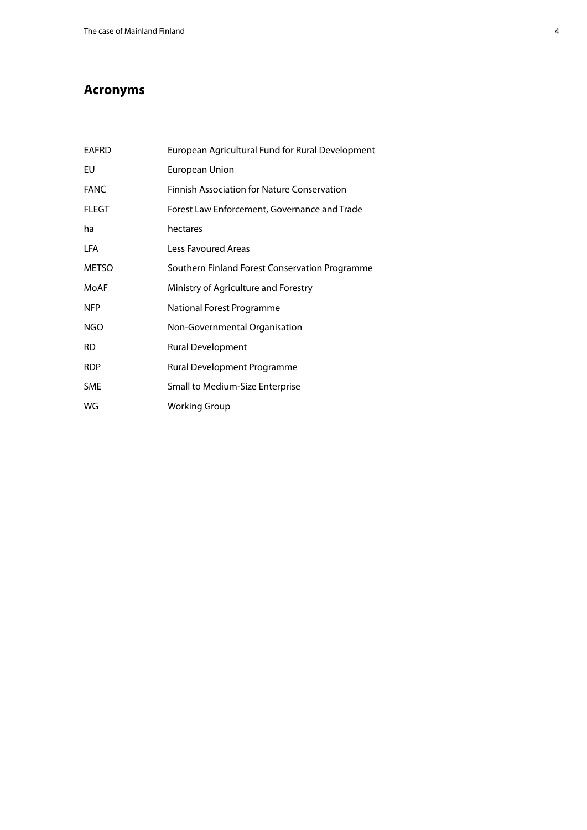## <span id="page-3-0"></span>**Acronyms**

| <b>EAFRD</b> | European Agricultural Fund for Rural Development   |
|--------------|----------------------------------------------------|
| EU           | <b>European Union</b>                              |
| <b>FANC</b>  | <b>Finnish Association for Nature Conservation</b> |
| FLEGT        | Forest Law Enforcement, Governance and Trade       |
| ha           | hectares                                           |
| <b>LFA</b>   | Less Favoured Areas                                |
| <b>METSO</b> | Southern Finland Forest Conservation Programme     |
| MoAF         | Ministry of Agriculture and Forestry               |
| <b>NFP</b>   | National Forest Programme                          |
| NGO          | Non-Governmental Organisation                      |
| <b>RD</b>    | Rural Development                                  |
| <b>RDP</b>   | Rural Development Programme                        |
| <b>SME</b>   | Small to Medium-Size Enterprise                    |
| WG           | <b>Working Group</b>                               |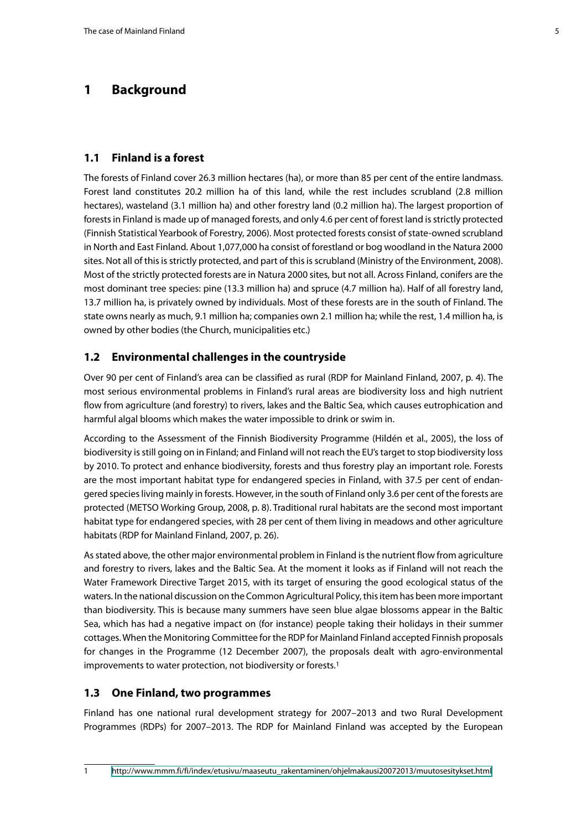## <span id="page-4-0"></span>**1 Background**

#### **1.1 Finland is a forest**

The forests of Finland cover 26.3 million hectares (ha), or more than 85 per cent of the entire landmass. Forest land constitutes 20.2 million ha of this land, while the rest includes scrubland (2.8 million hectares), wasteland (3.1 million ha) and other forestry land (0.2 million ha). The largest proportion of forests in Finland is made up of managed forests, and only 4.6 per cent of forest land is strictly protected (Finnish Statistical Yearbook of Forestry, 2006). Most protected forests consist of state-owned scrubland in North and East Finland. About 1,077,000 ha consist of forestland or bog woodland in the Natura 2000 sites. Not all of this is strictly protected, and part of this is scrubland (Ministry of the Environment, 2008). Most of the strictly protected forests are in Natura 2000 sites, but not all. Across Finland, conifers are the most dominant tree species: pine (13.3 million ha) and spruce (4.7 million ha). Half of all forestry land, 13.7 million ha, is privately owned by individuals. Most of these forests are in the south of Finland. The state owns nearly as much, 9.1 million ha; companies own 2.1 million ha; while the rest, 1.4 million ha, is owned by other bodies (the Church, municipalities etc.)

#### **1.2 Environmental challenges in the countryside**

Over 90 per cent of Finland's area can be classified as rural (RDP for Mainland Finland, 2007, p. 4). The most serious environmental problems in Finland's rural areas are biodiversity loss and high nutrient flow from agriculture (and forestry) to rivers, lakes and the Baltic Sea, which causes eutrophication and harmful algal blooms which makes the water impossible to drink or swim in.

According to the Assessment of the Finnish Biodiversity Programme (Hildén et al., 2005), the loss of biodiversity is still going on in Finland; and Finland will not reach the EU's target to stop biodiversity loss by 2010. To protect and enhance biodiversity, forests and thus forestry play an important role. Forests are the most important habitat type for endangered species in Finland, with 37.5 per cent of endangered species living mainly in forests. However, in the south of Finland only 3.6 per cent of the forests are protected (METSO Working Group, 2008, p. 8). Traditional rural habitats are the second most important habitat type for endangered species, with 28 per cent of them living in meadows and other agriculture habitats (RDP for Mainland Finland, 2007, p. 26).

As stated above, the other major environmental problem in Finland is the nutrient flow from agriculture and forestry to rivers, lakes and the Baltic Sea. At the moment it looks as if Finland will not reach the Water Framework Directive Target 2015, with its target of ensuring the good ecological status of the waters. In the national discussion on the Common Agricultural Policy, this item has been more important than biodiversity. This is because many summers have seen blue algae blossoms appear in the Baltic Sea, which has had a negative impact on (for instance) people taking their holidays in their summer cottages. When the Monitoring Committee for the RDP for Mainland Finland accepted Finnish proposals for changes in the Programme (12 December 2007), the proposals dealt with agro-environmental improvements to water protection, not biodiversity or forests.<sup>1</sup>

#### **1.3 One Finland, two programmes**

Finland has one national rural development strategy for 2007–2013 and two Rural Development Programmes (RDPs) for 2007–2013. The RDP for Mainland Finland was accepted by the European

<sup>1</sup> [http://www.mmm.fi/fi/index/etusivu/maaseutu\\_rakentaminen/ohjelmakausi20072013/muutosesitykset.html](http://www.mmm.fi/fi/index/etusivu/maaseutu_rakentaminen/ohjelmakausi20072013/muutosesitykset.html)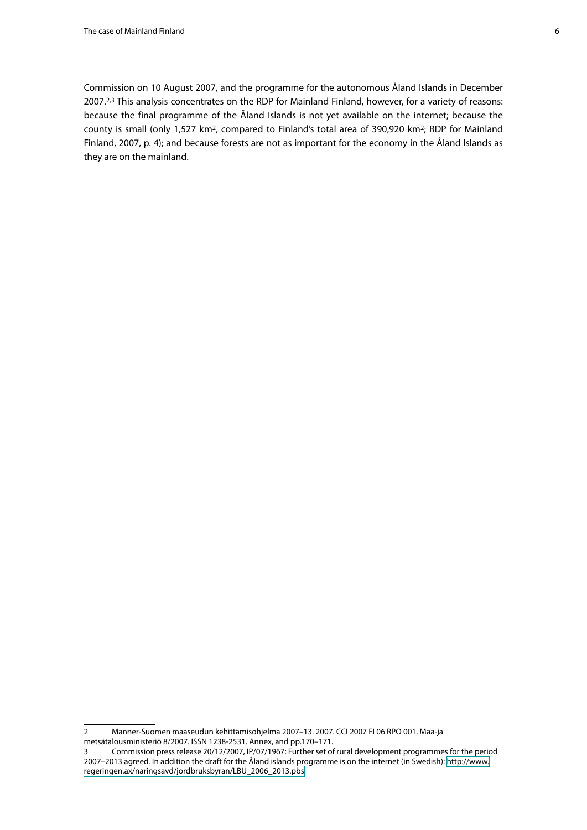Commission on 10 August 2007, and the programme for the autonomous Åland Islands in December 2007.2,3 This analysis concentrates on the RDP for Mainland Finland, however, for a variety of reasons: because the final programme of the Åland Islands is not yet available on the internet; because the county is small (only 1,527 km2, compared to Finland's total area of 390,920 km2; RDP for Mainland Finland, 2007, p. 4); and because forests are not as important for the economy in the Åland Islands as they are on the mainland.

<sup>2</sup> Manner-Suomen maaseudun kehittämisohjelma 2007–13. 2007. CCI 2007 FI 06 RPO 001. Maa-ja metsätalousministeriö 8/2007. ISSN 1238-2531. Annex, and pp.170–171.

<sup>3</sup> Commission press release 20/12/2007, IP/07/1967: Further set of rural development programmes for the period 2007–2013 agreed. In addition the draft for the Åland islands programme is on the internet (in Swedish): [http://www.](http://www.regeringen.ax/naringsavd/jordbruksbyran/LBU_2006_2013.pbs) [regeringen.ax/naringsavd/jordbruksbyran/LBU\\_2006\\_2013.pbs](http://www.regeringen.ax/naringsavd/jordbruksbyran/LBU_2006_2013.pbs)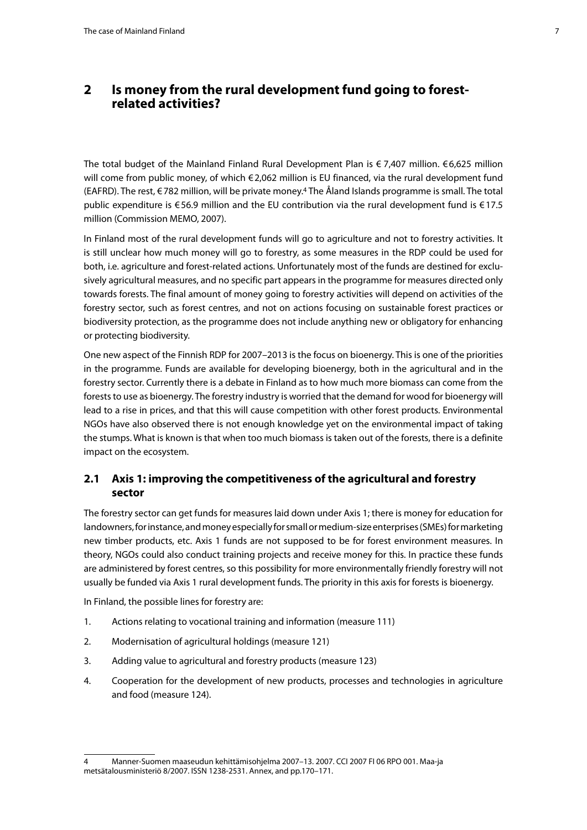### <span id="page-6-0"></span>**2 Is money from the rural development fund going to forestrelated activities?**

The total budget of the Mainland Finland Rural Development Plan is  $\epsilon$  7,407 million.  $\epsilon$  6,625 million will come from public money, of which €2,062 million is EU financed, via the rural development fund (EAFRD). The rest, €782 million, will be private money.<sup>4</sup> The Åland Islands programme is small. The total public expenditure is €56.9 million and the EU contribution via the rural development fund is €17.5 million (Commission MEMO, 2007).

In Finland most of the rural development funds will go to agriculture and not to forestry activities. It is still unclear how much money will go to forestry, as some measures in the RDP could be used for both, i.e. agriculture and forest-related actions. Unfortunately most of the funds are destined for exclusively agricultural measures, and no specific part appears in the programme for measures directed only towards forests. The final amount of money going to forestry activities will depend on activities of the forestry sector, such as forest centres, and not on actions focusing on sustainable forest practices or biodiversity protection, as the programme does not include anything new or obligatory for enhancing or protecting biodiversity.

One new aspect of the Finnish RDP for 2007–2013 is the focus on bioenergy. This is one of the priorities in the programme. Funds are available for developing bioenergy, both in the agricultural and in the forestry sector. Currently there is a debate in Finland as to how much more biomass can come from the forests to use as bioenergy. The forestry industry is worried that the demand for wood for bioenergy will lead to a rise in prices, and that this will cause competition with other forest products. Environmental NGOs have also observed there is not enough knowledge yet on the environmental impact of taking the stumps. What is known is that when too much biomass is taken out of the forests, there is a definite impact on the ecosystem.

#### **2.1 Axis 1: improving the competitiveness of the agricultural and forestry sector**

The forestry sector can get funds for measures laid down under Axis 1; there is money for education for landowners, for instance, and money especially for small or medium-size enterprises (SMEs) for marketing new timber products, etc. Axis 1 funds are not supposed to be for forest environment measures. In theory, NGOs could also conduct training projects and receive money for this. In practice these funds are administered by forest centres, so this possibility for more environmentally friendly forestry will not usually be funded via Axis 1 rural development funds. The priority in this axis for forests is bioenergy.

In Finland, the possible lines for forestry are:

- 1. Actions relating to vocational training and information (measure 111)
- 2. Modernisation of agricultural holdings (measure 121)
- 3. Adding value to agricultural and forestry products (measure 123)
- 4. Cooperation for the development of new products, processes and technologies in agriculture and food (measure 124).

<sup>4</sup> Manner-Suomen maaseudun kehittämisohjelma 2007–13. 2007. CCI 2007 FI 06 RPO 001. Maa-ja metsätalousministeriö 8/2007. ISSN 1238-2531. Annex, and pp.170–171.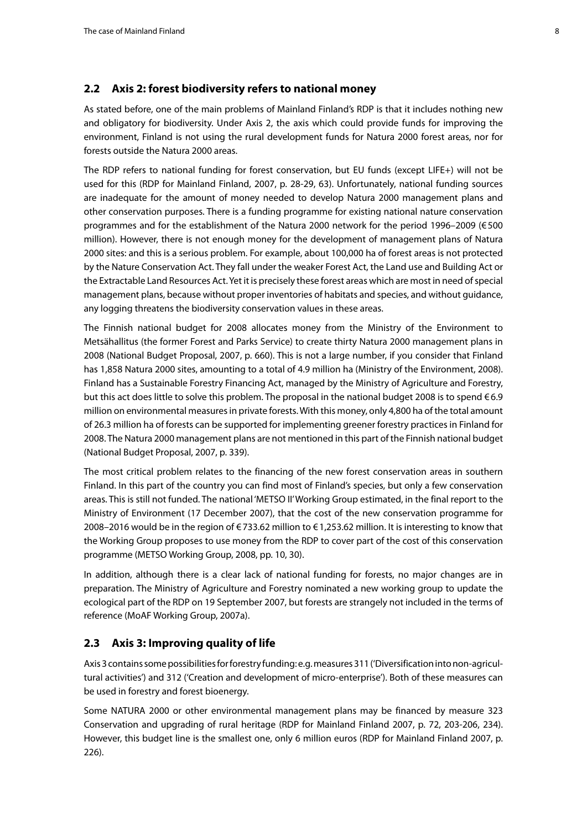#### <span id="page-7-0"></span>**2.2 Axis 2: forest biodiversity refers to national money**

As stated before, one of the main problems of Mainland Finland's RDP is that it includes nothing new and obligatory for biodiversity. Under Axis 2, the axis which could provide funds for improving the environment, Finland is not using the rural development funds for Natura 2000 forest areas, nor for forests outside the Natura 2000 areas.

The RDP refers to national funding for forest conservation, but EU funds (except LIFE+) will not be used for this (RDP for Mainland Finland, 2007, p. 28-29, 63). Unfortunately, national funding sources are inadequate for the amount of money needed to develop Natura 2000 management plans and other conservation purposes. There is a funding programme for existing national nature conservation programmes and for the establishment of the Natura 2000 network for the period 1996–2009 (€500 million). However, there is not enough money for the development of management plans of Natura 2000 sites: and this is a serious problem. For example, about 100,000 ha of forest areas is not protected by the Nature Conservation Act. They fall under the weaker Forest Act, the Land use and Building Act or the Extractable Land Resources Act. Yet it is precisely these forest areas which are most in need of special management plans, because without proper inventories of habitats and species, and without guidance, any logging threatens the biodiversity conservation values in these areas.

The Finnish national budget for 2008 allocates money from the Ministry of the Environment to Metsähallitus (the former Forest and Parks Service) to create thirty Natura 2000 management plans in 2008 (National Budget Proposal, 2007, p. 660). This is not a large number, if you consider that Finland has 1,858 Natura 2000 sites, amounting to a total of 4.9 million ha (Ministry of the Environment, 2008). Finland has a Sustainable Forestry Financing Act, managed by the Ministry of Agriculture and Forestry, but this act does little to solve this problem. The proposal in the national budget 2008 is to spend €6.9 million on environmental measures in private forests. With this money, only 4,800 ha of the total amount of 26.3 million ha of forests can be supported for implementing greener forestry practices in Finland for 2008. The Natura 2000 management plans are not mentioned in this part of the Finnish national budget (National Budget Proposal, 2007, p. 339).

The most critical problem relates to the financing of the new forest conservation areas in southern Finland. In this part of the country you can find most of Finland's species, but only a few conservation areas. This is still not funded. The national 'METSO II' Working Group estimated, in the final report to the Ministry of Environment (17 December 2007), that the cost of the new conservation programme for 2008–2016 would be in the region of €733.62 million to €1,253.62 million. It is interesting to know that the Working Group proposes to use money from the RDP to cover part of the cost of this conservation programme (METSO Working Group, 2008, pp. 10, 30).

In addition, although there is a clear lack of national funding for forests, no major changes are in preparation. The Ministry of Agriculture and Forestry nominated a new working group to update the ecological part of the RDP on 19 September 2007, but forests are strangely not included in the terms of reference (MoAF Working Group, 2007a).

#### **2.3 Axis 3: Improving quality of life**

Axis 3 contains some possibilities for forestry funding: e.g. measures 311 ('Diversification into non-agricultural activities') and 312 ('Creation and development of micro-enterprise'). Both of these measures can be used in forestry and forest bioenergy.

Some NATURA 2000 or other environmental management plans may be financed by measure 323 Conservation and upgrading of rural heritage (RDP for Mainland Finland 2007, p. 72, 203-206, 234). However, this budget line is the smallest one, only 6 million euros (RDP for Mainland Finland 2007, p. 226).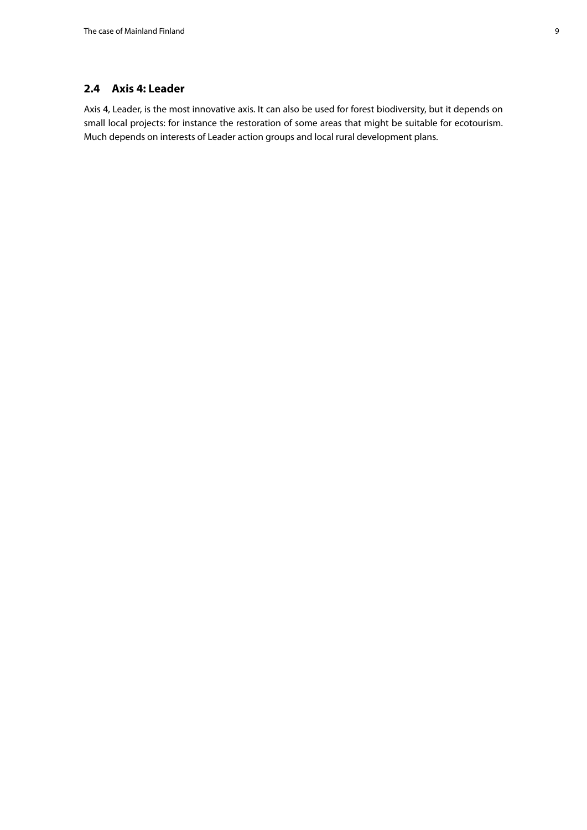#### <span id="page-8-0"></span>**2.4 Axis 4: Leader**

Axis 4, Leader, is the most innovative axis. It can also be used for forest biodiversity, but it depends on small local projects: for instance the restoration of some areas that might be suitable for ecotourism. Much depends on interests of Leader action groups and local rural development plans.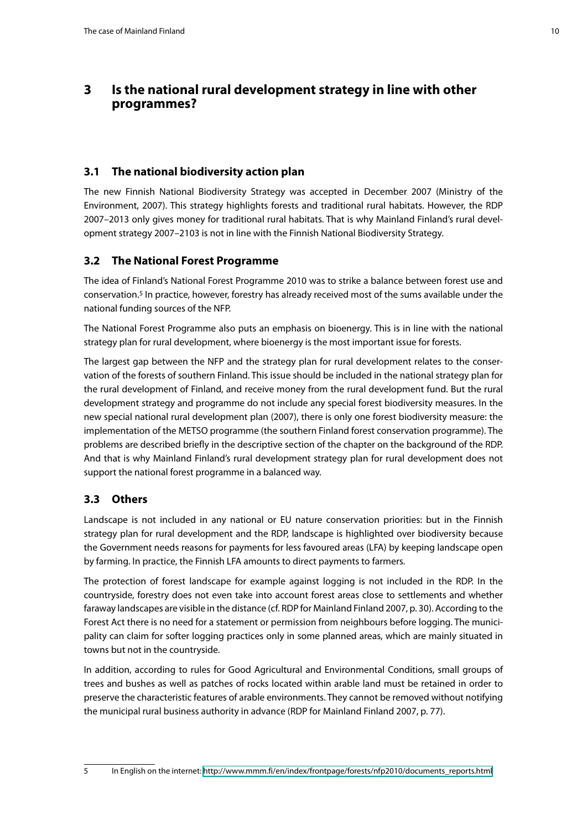## <span id="page-9-0"></span>**3 Is the national rural development strategy in line with other programmes?**

#### **3.1 The national biodiversity action plan**

The new Finnish National Biodiversity Strategy was accepted in December 2007 (Ministry of the Environment, 2007). This strategy highlights forests and traditional rural habitats. However, the RDP 2007–2013 only gives money for traditional rural habitats. That is why Mainland Finland's rural development strategy 2007–2103 is not in line with the Finnish National Biodiversity Strategy.

#### **3.2 The National Forest Programme**

The idea of Finland's National Forest Programme 2010 was to strike a balance between forest use and conservation.5 In practice, however, forestry has already received most of the sums available under the national funding sources of the NFP.

The National Forest Programme also puts an emphasis on bioenergy. This is in line with the national strategy plan for rural development, where bioenergy is the most important issue for forests.

The largest gap between the NFP and the strategy plan for rural development relates to the conservation of the forests of southern Finland. This issue should be included in the national strategy plan for the rural development of Finland, and receive money from the rural development fund. But the rural development strategy and programme do not include any special forest biodiversity measures. In the new special national rural development plan (2007), there is only one forest biodiversity measure: the implementation of the METSO programme (the southern Finland forest conservation programme). The problems are described briefly in the descriptive section of the chapter on the background of the RDP. And that is why Mainland Finland's rural development strategy plan for rural development does not support the national forest programme in a balanced way.

#### **3.3 Others**

Landscape is not included in any national or EU nature conservation priorities: but in the Finnish strategy plan for rural development and the RDP, landscape is highlighted over biodiversity because the Government needs reasons for payments for less favoured areas (LFA) by keeping landscape open by farming. In practice, the Finnish LFA amounts to direct payments to farmers.

The protection of forest landscape for example against logging is not included in the RDP. In the countryside, forestry does not even take into account forest areas close to settlements and whether faraway landscapes are visible in the distance (cf. RDP for Mainland Finland 2007, p. 30). According to the Forest Act there is no need for a statement or permission from neighbours before logging. The municipality can claim for softer logging practices only in some planned areas, which are mainly situated in towns but not in the countryside.

In addition, according to rules for Good Agricultural and Environmental Conditions, small groups of trees and bushes as well as patches of rocks located within arable land must be retained in order to preserve the characteristic features of arable environments. They cannot be removed without notifying the municipal rural business authority in advance (RDP for Mainland Finland 2007, p. 77).

5 In English on the internet: [http://www.mmm.fi/en/index/frontpage/forests/nfp2010/documents\\_reports.html](http://www.mmm.fi/en/index/frontpage/forests/nfp2010/documents_reports.html)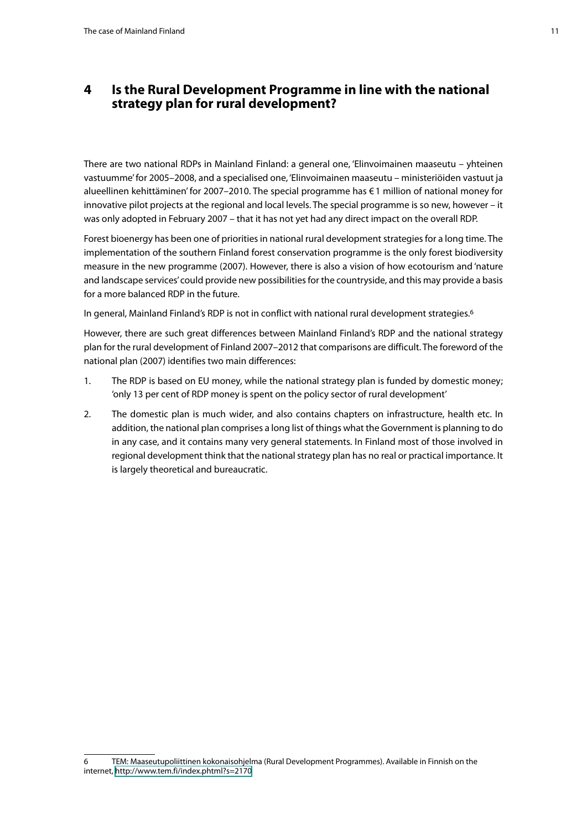#### <span id="page-10-0"></span>**4 Is the Rural Development Programme in line with the national strategy plan for rural development?**

There are two national RDPs in Mainland Finland: a general one, 'Elinvoimainen maaseutu – yhteinen vastuumme' for 2005–2008, and a specialised one, 'Elinvoimainen maaseutu – ministeriöiden vastuut ja alueellinen kehittäminen' for 2007–2010. The special programme has €1 million of national money for innovative pilot projects at the regional and local levels. The special programme is so new, however – it was only adopted in February 2007 – that it has not yet had any direct impact on the overall RDP.

Forest bioenergy has been one of priorities in national rural development strategies for a long time. The implementation of the southern Finland forest conservation programme is the only forest biodiversity measure in the new programme (2007). However, there is also a vision of how ecotourism and 'nature and landscape services' could provide new possibilities for the countryside, and this may provide a basis for a more balanced RDP in the future.

In general, Mainland Finland's RDP is not in conflict with national rural development strategies.6

However, there are such great differences between Mainland Finland's RDP and the national strategy plan for the rural development of Finland 2007–2012 that comparisons are difficult. The foreword of the national plan (2007) identifies two main differences:

- 1. The RDP is based on EU money, while the national strategy plan is funded by domestic money; 'only 13 per cent of RDP money is spent on the policy sector of rural development'
- 2. The domestic plan is much wider, and also contains chapters on infrastructure, health etc. In addition, the national plan comprises a long list of things what the Government is planning to do in any case, and it contains many very general statements. In Finland most of those involved in regional development think that the national strategy plan has no real or practical importance. It is largely theoretical and bureaucratic.

<sup>6</sup> TEM: Maaseutupoliittinen kokonaisohjelma (Rural Development Programmes). Available in Finnish on the internet, <http://www.tem.fi/index.phtml?s=2170>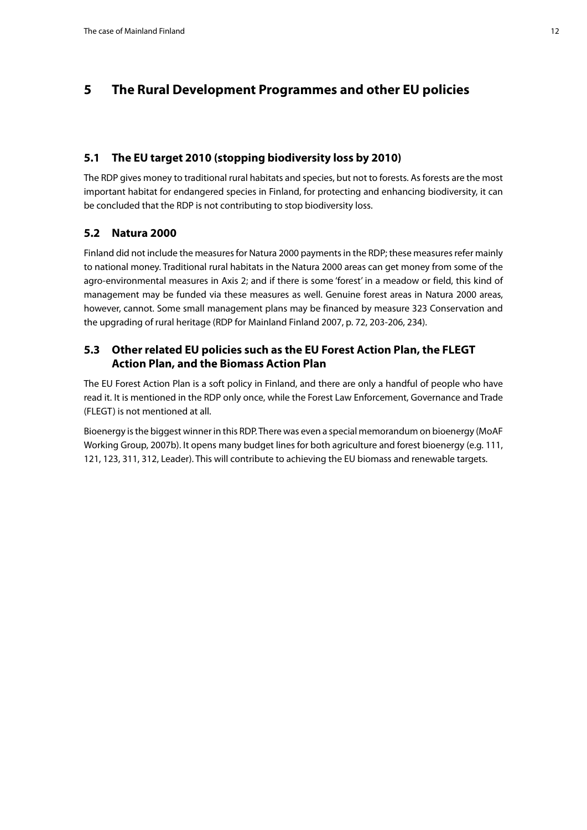## <span id="page-11-0"></span>**5 The Rural Development Programmes and other EU policies**

#### **5.1 The EU target 2010 (stopping biodiversity loss by 2010)**

The RDP gives money to traditional rural habitats and species, but not to forests. As forests are the most important habitat for endangered species in Finland, for protecting and enhancing biodiversity, it can be concluded that the RDP is not contributing to stop biodiversity loss.

#### **5.2 Natura 2000**

Finland did not include the measures for Natura 2000 payments in the RDP; these measures refer mainly to national money. Traditional rural habitats in the Natura 2000 areas can get money from some of the agro-environmental measures in Axis 2; and if there is some 'forest' in a meadow or field, this kind of management may be funded via these measures as well. Genuine forest areas in Natura 2000 areas, however, cannot. Some small management plans may be financed by measure 323 Conservation and the upgrading of rural heritage (RDP for Mainland Finland 2007, p. 72, 203-206, 234).

#### **5.3 Other related EU policies such as the EU Forest Action Plan, the FLEGT Action Plan, and the Biomass Action Plan**

The EU Forest Action Plan is a soft policy in Finland, and there are only a handful of people who have read it. It is mentioned in the RDP only once, while the Forest Law Enforcement, Governance and Trade (FLEGT) is not mentioned at all.

Bioenergy is the biggest winner in this RDP. There was even a special memorandum on bioenergy (MoAF Working Group, 2007b). It opens many budget lines for both agriculture and forest bioenergy (e.g. 111, 121, 123, 311, 312, Leader). This will contribute to achieving the EU biomass and renewable targets.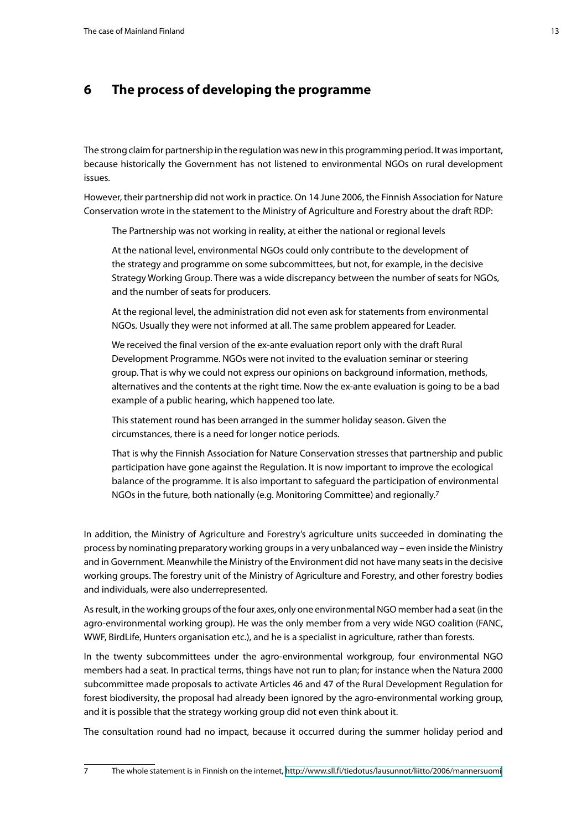## <span id="page-12-0"></span>**6 The process of developing the programme**

The strong claim for partnership in the regulation was new in this programming period. It was important, because historically the Government has not listened to environmental NGOs on rural development issues.

However, their partnership did not work in practice. On 14 June 2006, the Finnish Association for Nature Conservation wrote in the statement to the Ministry of Agriculture and Forestry about the draft RDP:

The Partnership was not working in reality, at either the national or regional levels

At the national level, environmental NGOs could only contribute to the development of the strategy and programme on some subcommittees, but not, for example, in the decisive Strategy Working Group. There was a wide discrepancy between the number of seats for NGOs, and the number of seats for producers.

At the regional level, the administration did not even ask for statements from environmental NGOs. Usually they were not informed at all. The same problem appeared for Leader.

We received the final version of the ex-ante evaluation report only with the draft Rural Development Programme. NGOs were not invited to the evaluation seminar or steering group. That is why we could not express our opinions on background information, methods, alternatives and the contents at the right time. Now the ex-ante evaluation is going to be a bad example of a public hearing, which happened too late.

This statement round has been arranged in the summer holiday season. Given the circumstances, there is a need for longer notice periods.

That is why the Finnish Association for Nature Conservation stresses that partnership and public participation have gone against the Regulation. It is now important to improve the ecological balance of the programme. It is also important to safeguard the participation of environmental NGOs in the future, both nationally (e.g. Monitoring Committee) and regionally.7

In addition, the Ministry of Agriculture and Forestry's agriculture units succeeded in dominating the process by nominating preparatory working groups in a very unbalanced way – even inside the Ministry and in Government. Meanwhile the Ministry of the Environment did not have many seats in the decisive working groups. The forestry unit of the Ministry of Agriculture and Forestry, and other forestry bodies and individuals, were also underrepresented.

As result, in the working groups of the four axes, only one environmental NGO member had a seat (in the agro-environmental working group). He was the only member from a very wide NGO coalition (FANC, WWF, BirdLife, Hunters organisation etc.), and he is a specialist in agriculture, rather than forests.

In the twenty subcommittees under the agro-environmental workgroup, four environmental NGO members had a seat. In practical terms, things have not run to plan; for instance when the Natura 2000 subcommittee made proposals to activate Articles 46 and 47 of the Rural Development Regulation for forest biodiversity, the proposal had already been ignored by the agro-environmental working group, and it is possible that the strategy working group did not even think about it.

The consultation round had no impact, because it occurred during the summer holiday period and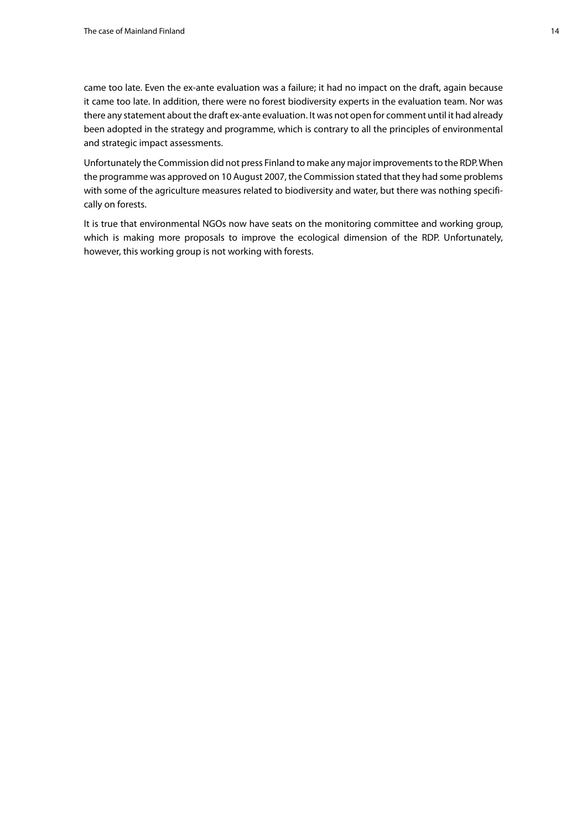came too late. Even the ex-ante evaluation was a failure; it had no impact on the draft, again because it came too late. In addition, there were no forest biodiversity experts in the evaluation team. Nor was there any statement about the draft ex-ante evaluation. It was not open for comment until it had already been adopted in the strategy and programme, which is contrary to all the principles of environmental and strategic impact assessments.

Unfortunately the Commission did not press Finland to make any major improvements to the RDP. When the programme was approved on 10 August 2007, the Commission stated that they had some problems with some of the agriculture measures related to biodiversity and water, but there was nothing specifically on forests.

It is true that environmental NGOs now have seats on the monitoring committee and working group, which is making more proposals to improve the ecological dimension of the RDP. Unfortunately, however, this working group is not working with forests.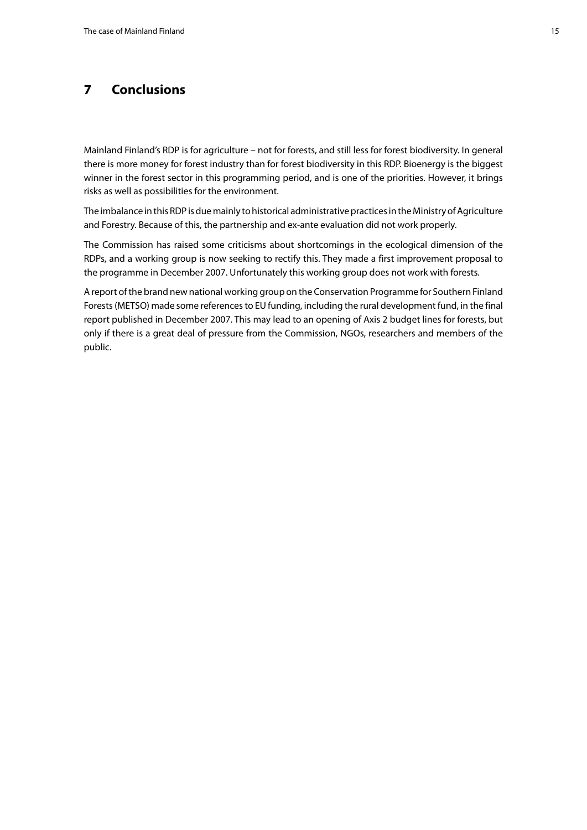## <span id="page-14-0"></span>**7 Conclusions**

Mainland Finland's RDP is for agriculture – not for forests, and still less for forest biodiversity. In general there is more money for forest industry than for forest biodiversity in this RDP. Bioenergy is the biggest winner in the forest sector in this programming period, and is one of the priorities. However, it brings risks as well as possibilities for the environment.

The imbalance in this RDP is due mainly to historical administrative practices in the Ministry of Agriculture and Forestry. Because of this, the partnership and ex-ante evaluation did not work properly.

The Commission has raised some criticisms about shortcomings in the ecological dimension of the RDPs, and a working group is now seeking to rectify this. They made a first improvement proposal to the programme in December 2007. Unfortunately this working group does not work with forests.

A report of the brand new national working group on the Conservation Programme for Southern Finland Forests (METSO) made some references to EU funding, including the rural development fund, in the final report published in December 2007. This may lead to an opening of Axis 2 budget lines for forests, but only if there is a great deal of pressure from the Commission, NGOs, researchers and members of the public.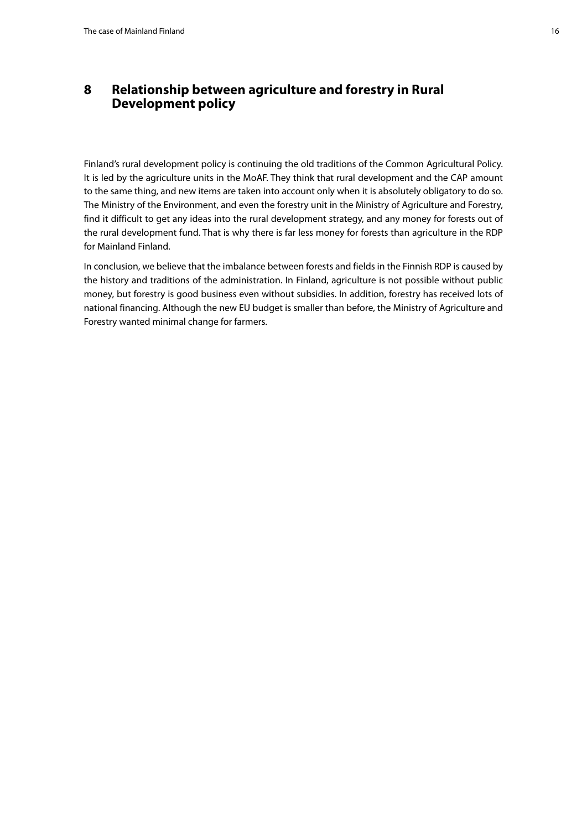## <span id="page-15-0"></span>**8 Relationship between agriculture and forestry in Rural Development policy**

Finland's rural development policy is continuing the old traditions of the Common Agricultural Policy. It is led by the agriculture units in the MoAF. They think that rural development and the CAP amount to the same thing, and new items are taken into account only when it is absolutely obligatory to do so. The Ministry of the Environment, and even the forestry unit in the Ministry of Agriculture and Forestry, find it difficult to get any ideas into the rural development strategy, and any money for forests out of the rural development fund. That is why there is far less money for forests than agriculture in the RDP for Mainland Finland.

In conclusion, we believe that the imbalance between forests and fields in the Finnish RDP is caused by the history and traditions of the administration. In Finland, agriculture is not possible without public money, but forestry is good business even without subsidies. In addition, forestry has received lots of national financing. Although the new EU budget is smaller than before, the Ministry of Agriculture and Forestry wanted minimal change for farmers.